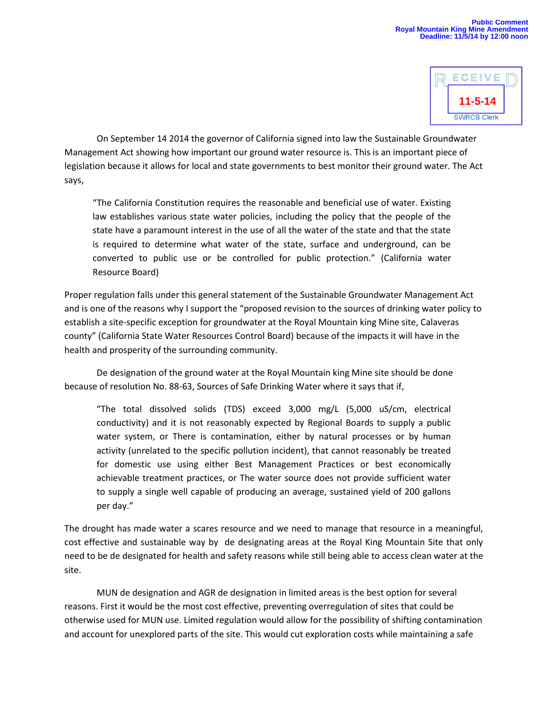

On September 14 2014 the governor of California signed into law the Sustainable Groundwater Management Act showing how important our ground water resource is. This is an important piece of legislation because it allows for local and state governments to best monitor their ground water. The Act says,

"The California Constitution requires the reasonable and beneficial use of water. Existing law establishes various state water policies, including the policy that the people of the state have a paramount interest in the use of all the water of the state and that the state is required to determine what water of the state, surface and underground, can be converted to public use or be controlled for public protection." (California water Resource Board)

Proper regulation falls under this general statement of the Sustainable Groundwater Management Act and is one of the reasons why I support the "proposed revision to the sources of drinking water policy to establish a site-specific exception for groundwater at the Royal Mountain king Mine site, Calaveras county" (California State Water Resources Control Board) because of the impacts it will have in the health and prosperity of the surrounding community.

De designation of the ground water at the Royal Mountain king Mine site should be done because of resolution No. 88-63, Sources of Safe Drinking Water where it says that if,

"The total dissolved solids (TDS) exceed 3,000 mg/L (5,000 uS/cm, electrical conductivity) and it is not reasonably expected by Regional Boards to supply a public water system, or There is contamination, either by natural processes or by human activity (unrelated to the specific pollution incident), that cannot reasonably be treated for domestic use using either Best Management Practices or best economically achievable treatment practices, or The water source does not provide sufficient water to supply a single well capable of producing an average, sustained yield of 200 gallons per day."

The drought has made water a scares resource and we need to manage that resource in a meaningful, cost effective and sustainable way by de designating areas at the Royal King Mountain Site that only need to be de designated for health and safety reasons while still being able to access clean water at the site.

MUN de designation and AGR de designation in limited areas is the best option for several reasons. First it would be the most cost effective, preventing overregulation of sites that could be otherwise used for MUN use. Limited regulation would allow for the possibility of shifting contamination and account for unexplored parts of the site. This would cut exploration costs while maintaining a safe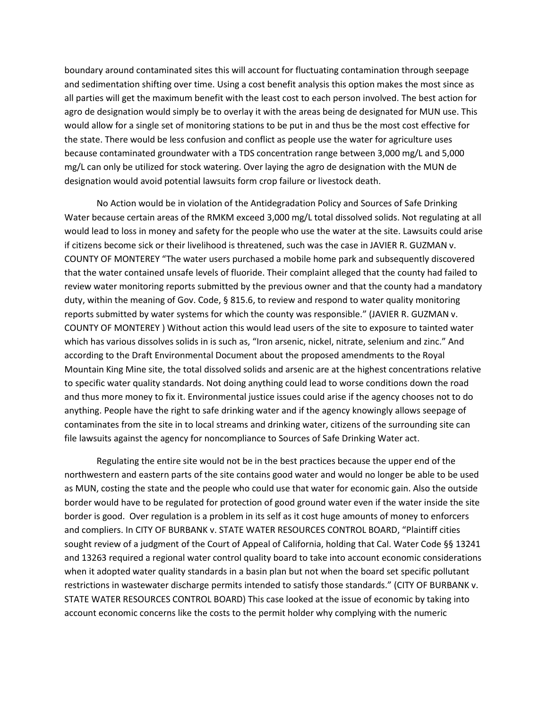boundary around contaminated sites this will account for fluctuating contamination through seepage and sedimentation shifting over time. Using a cost benefit analysis this option makes the most since as all parties will get the maximum benefit with the least cost to each person involved. The best action for agro de designation would simply be to overlay it with the areas being de designated for MUN use. This would allow for a single set of monitoring stations to be put in and thus be the most cost effective for the state. There would be less confusion and conflict as people use the water for agriculture uses because contaminated groundwater with a TDS concentration range between 3,000 mg/L and 5,000 mg/L can only be utilized for stock watering. Over laying the agro de designation with the MUN de designation would avoid potential lawsuits form crop failure or livestock death.

No Action would be in violation of the Antidegradation Policy and Sources of Safe Drinking Water because certain areas of the RMKM exceed 3,000 mg/L total dissolved solids. Not regulating at all would lead to loss in money and safety for the people who use the water at the site. Lawsuits could arise if citizens become sick or their livelihood is threatened, such was the case in JAVIER R. GUZMAN v. COUNTY OF MONTEREY "The water users purchased a mobile home park and subsequently discovered that the water contained unsafe levels of fluoride. Their complaint alleged that the county had failed to review water monitoring reports submitted by the previous owner and that the county had a mandatory duty, within the meaning of Gov. Code, § 815.6, to review and respond to water quality monitoring reports submitted by water systems for which the county was responsible." (JAVIER R. GUZMAN v. COUNTY OF MONTEREY ) Without action this would lead users of the site to exposure to tainted water which has various dissolves solids in is such as, "Iron arsenic, nickel, nitrate, selenium and zinc." And according to the Draft Environmental Document about the proposed amendments to the Royal Mountain King Mine site, the total dissolved solids and arsenic are at the highest concentrations relative to specific water quality standards. Not doing anything could lead to worse conditions down the road and thus more money to fix it. Environmental justice issues could arise if the agency chooses not to do anything. People have the right to safe drinking water and if the agency knowingly allows seepage of contaminates from the site in to local streams and drinking water, citizens of the surrounding site can file lawsuits against the agency for noncompliance to Sources of Safe Drinking Water act.

Regulating the entire site would not be in the best practices because the upper end of the northwestern and eastern parts of the site contains good water and would no longer be able to be used as MUN, costing the state and the people who could use that water for economic gain. Also the outside border would have to be regulated for protection of good ground water even if the water inside the site border is good. Over regulation is a problem in its self as it cost huge amounts of money to enforcers and compliers. In CITY OF BURBANK v. STATE WATER RESOURCES CONTROL BOARD, "Plaintiff cities sought review of a judgment of the Court of Appeal of California, holding that Cal. Water Code §§ 13241 and 13263 required a regional water control quality board to take into account economic considerations when it adopted water quality standards in a basin plan but not when the board set specific pollutant restrictions in wastewater discharge permits intended to satisfy those standards." (CITY OF BURBANK v. STATE WATER RESOURCES CONTROL BOARD) This case looked at the issue of economic by taking into account economic concerns like the costs to the permit holder why complying with the numeric